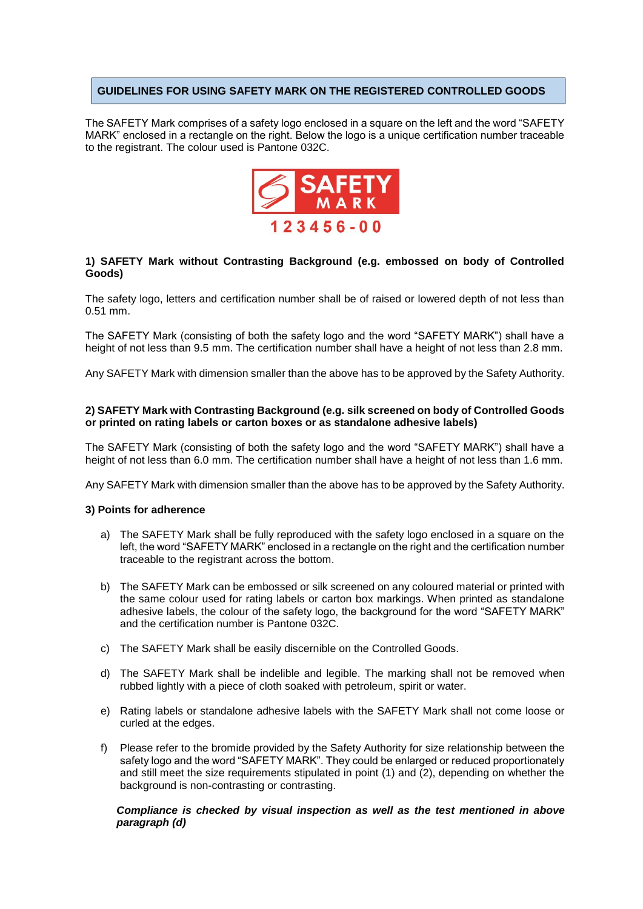# **GUIDELINES FOR USING SAFETY MARK ON THE REGISTERED CONTROLLED GOODS**

The SAFETY Mark comprises of a safety logo enclosed in a square on the left and the word "SAFETY MARK" enclosed in a rectangle on the right. Below the logo is a unique certification number traceable to the registrant. The colour used is Pantone 032C.



# **1) SAFETY Mark without Contrasting Background (e.g. embossed on body of Controlled Goods)**

The safety logo, letters and certification number shall be of raised or lowered depth of not less than 0.51 mm.

The SAFETY Mark (consisting of both the safety logo and the word "SAFETY MARK") shall have a height of not less than 9.5 mm. The certification number shall have a height of not less than 2.8 mm.

Any SAFETY Mark with dimension smaller than the above has to be approved by the Safety Authority.

## **2) SAFETY Mark with Contrasting Background (e.g. silk screened on body of Controlled Goods or printed on rating labels or carton boxes or as standalone adhesive labels)**

The SAFETY Mark (consisting of both the safety logo and the word "SAFETY MARK") shall have a height of not less than 6.0 mm. The certification number shall have a height of not less than 1.6 mm.

Any SAFETY Mark with dimension smaller than the above has to be approved by the Safety Authority.

#### **3) Points for adherence**

- a) The SAFETY Mark shall be fully reproduced with the safety logo enclosed in a square on the left, the word "SAFETY MARK" enclosed in a rectangle on the right and the certification number traceable to the registrant across the bottom.
- b) The SAFETY Mark can be embossed or silk screened on any coloured material or printed with the same colour used for rating labels or carton box markings. When printed as standalone adhesive labels, the colour of the safety logo, the background for the word "SAFETY MARK" and the certification number is Pantone 032C.
- c) The SAFETY Mark shall be easily discernible on the Controlled Goods.
- d) The SAFETY Mark shall be indelible and legible. The marking shall not be removed when rubbed lightly with a piece of cloth soaked with petroleum, spirit or water.
- e) Rating labels or standalone adhesive labels with the SAFETY Mark shall not come loose or curled at the edges.
- f) Please refer to the bromide provided by the Safety Authority for size relationship between the safety logo and the word "SAFETY MARK". They could be enlarged or reduced proportionately and still meet the size requirements stipulated in point (1) and (2), depending on whether the background is non-contrasting or contrasting.

## *Compliance is checked by visual inspection as well as the test mentioned in above paragraph (d)*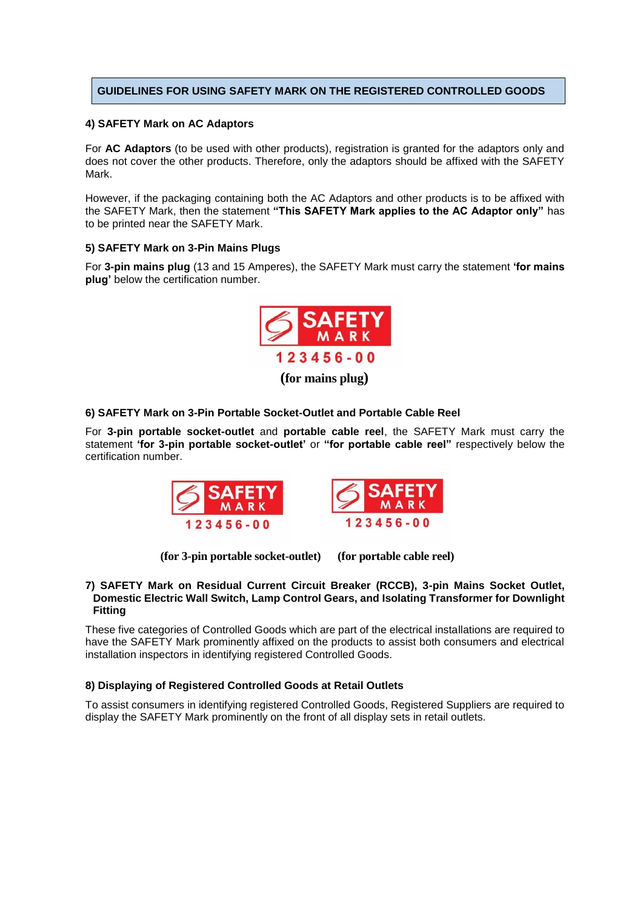# **GUIDELINES FOR USING SAFETY MARK ON THE REGISTERED CONTROLLED GOODS**

#### **4) SAFETY Mark on AC Adaptors**

For **AC Adaptors** (to be used with other products), registration is granted for the adaptors only and does not cover the other products. Therefore, only the adaptors should be affixed with the SAFETY Mark.

However, if the packaging containing both the AC Adaptors and other products is to be affixed with the SAFETY Mark, then the statement **"This SAFETY Mark applies to the AC Adaptor only"** has to be printed near the SAFETY Mark.

## **5) SAFETY Mark on 3-Pin Mains Plugs**

For **3-pin mains plug** (13 and 15 Amperes), the SAFETY Mark must carry the statement **'for mains plug'** below the certification number.



 **(for mains plug)**

## **6) SAFETY Mark on 3-Pin Portable Socket-Outlet and Portable Cable Reel**

For **3-pin portable socket-outlet** and **portable cable reel**, the SAFETY Mark must carry the statement **'for 3-pin portable socket-outlet'** or **"for portable cable reel"** respectively below the certification number.





**(for 3-pin portable socket-outlet) (for portable cable reel)**

#### **7) SAFETY Mark on Residual Current Circuit Breaker (RCCB), 3-pin Mains Socket Outlet, Domestic Electric Wall Switch, Lamp Control Gears, and Isolating Transformer for Downlight Fitting**

These five categories of Controlled Goods which are part of the electrical installations are required to have the SAFETY Mark prominently affixed on the products to assist both consumers and electrical installation inspectors in identifying registered Controlled Goods.

# **8) Displaying of Registered Controlled Goods at Retail Outlets**

To assist consumers in identifying registered Controlled Goods, Registered Suppliers are required to display the SAFETY Mark prominently on the front of all display sets in retail outlets.